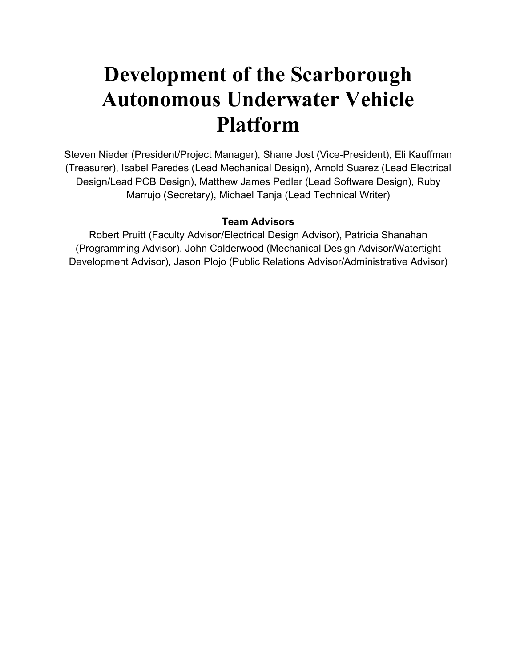# **Development of the Scarborough Autonomous Underwater Vehicle Platform**

Steven Nieder (President/Project Manager), Shane Jost (Vice-President), Eli Kauffman (Treasurer), Isabel Paredes (Lead Mechanical Design), Arnold Suarez (Lead Electrical Design/Lead PCB Design), Matthew James Pedler (Lead Software Design), Ruby Marrujo (Secretary), Michael Tanja (Lead Technical Writer)

# **Team Advisors**

Robert Pruitt (Faculty Advisor/Electrical Design Advisor), Patricia Shanahan (Programming Advisor), John Calderwood (Mechanical Design Advisor/Watertight Development Advisor), Jason Plojo (Public Relations Advisor/Administrative Advisor)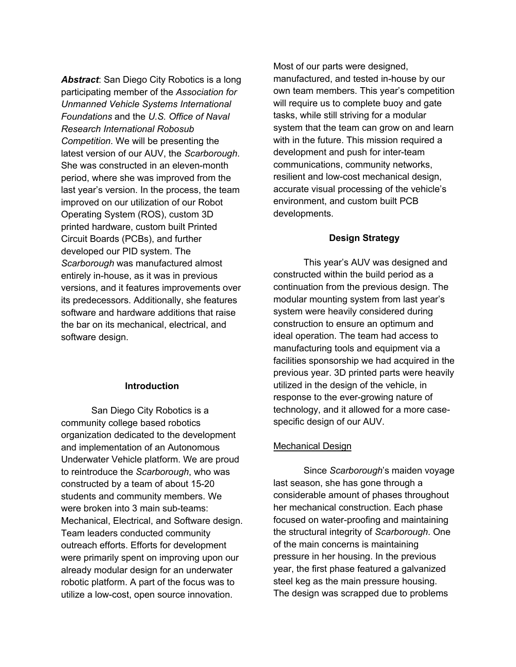*Abstract*: San Diego City Robotics is a long participating member of the *Association for Unmanned Vehicle Systems International Foundations* and the *U.S. Office of Naval Research International Robosub Competition*. We will be presenting the latest version of our AUV, the *Scarborough*. She was constructed in an eleven-month period, where she was improved from the last year's version. In the process, the team improved on our utilization of our Robot Operating System (ROS), custom 3D printed hardware, custom built Printed Circuit Boards (PCBs), and further developed our PID system. The *Scarborough* was manufactured almost entirely in-house, as it was in previous versions, and it features improvements over its predecessors. Additionally, she features software and hardware additions that raise the bar on its mechanical, electrical, and software design.

### **Introduction**

San Diego City Robotics is a community college based robotics organization dedicated to the development and implementation of an Autonomous Underwater Vehicle platform. We are proud to reintroduce the *Scarborough*, who was constructed by a team of about 15-20 students and community members. We were broken into 3 main sub-teams: Mechanical, Electrical, and Software design. Team leaders conducted community outreach efforts. Efforts for development were primarily spent on improving upon our already modular design for an underwater robotic platform. A part of the focus was to utilize a low-cost, open source innovation.

Most of our parts were designed, manufactured, and tested in-house by our own team members. This year's competition will require us to complete buoy and gate tasks, while still striving for a modular system that the team can grow on and learn with in the future. This mission required a development and push for inter-team communications, community networks, resilient and low-cost mechanical design, accurate visual processing of the vehicle's environment, and custom built PCB developments.

#### **Design Strategy**

This year's AUV was designed and constructed within the build period as a continuation from the previous design. The modular mounting system from last year's system were heavily considered during construction to ensure an optimum and ideal operation. The team had access to manufacturing tools and equipment via a facilities sponsorship we had acquired in the previous year. 3D printed parts were heavily utilized in the design of the vehicle, in response to the ever-growing nature of technology, and it allowed for a more casespecific design of our AUV.

#### Mechanical Design

Since *Scarborough*'s maiden voyage last season, she has gone through a considerable amount of phases throughout her mechanical construction. Each phase focused on water-proofing and maintaining the structural integrity of *Scarborough*. One of the main concerns is maintaining pressure in her housing. In the previous year, the first phase featured a galvanized steel keg as the main pressure housing. The design was scrapped due to problems